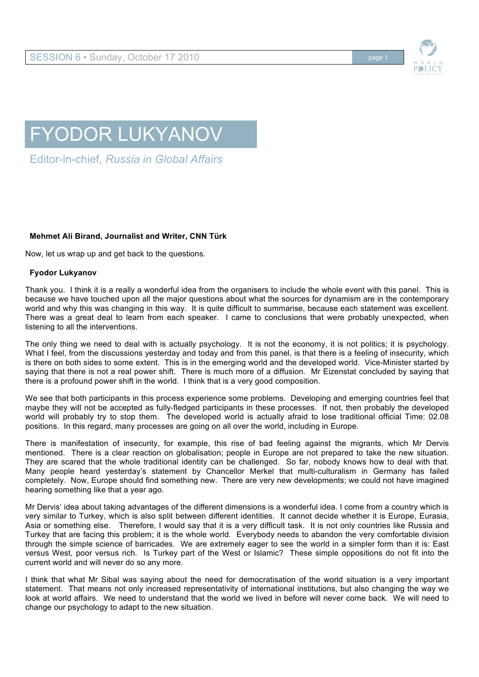

## FYODOR LUKYANOV

Editor-in-chief, *Russia in Global Affairs*

## **Mehmet Ali Birand, Journalist and Writer, CNN Türk**

Now, let us wrap up and get back to the questions.

## **Fyodor Lukyanov**

Thank you. I think it is a really a wonderful idea from the organisers to include the whole event with this panel. This is because we have touched upon all the major questions about what the sources for dynamism are in the contemporary world and why this was changing in this way. It is quite difficult to summarise, because each statement was excellent. There was a great deal to learn from each speaker. I came to conclusions that were probably unexpected, when listening to all the interventions.

The only thing we need to deal with is actually psychology. It is not the economy, it is not politics; it is psychology. What I feel, from the discussions yesterday and today and from this panel, is that there is a feeling of insecurity, which is there on both sides to some extent. This is in the emerging world and the developed world. Vice-Minister started by saying that there is not a real power shift. There is much more of a diffusion. Mr Eizenstat concluded by saying that there is a profound power shift in the world. I think that is a very good composition.

We see that both participants in this process experience some problems. Developing and emerging countries feel that maybe they will not be accepted as fully-fledged participants in these processes. If not, then probably the developed world will probably try to stop them. The developed world is actually afraid to lose traditional official Time: 02.08 positions. In this regard, many processes are going on all over the world, including in Europe.

There is manifestation of insecurity, for example, this rise of bad feeling against the migrants, which Mr Dervis mentioned. There is a clear reaction on globalisation; people in Europe are not prepared to take the new situation. They are scared that the whole traditional identity can be challenged. So far, nobody knows how to deal with that. Many people heard yesterday's statement by Chancellor Merkel that multi-culturalism in Germany has failed completely. Now, Europe should find something new. There are very new developments; we could not have imagined hearing something like that a year ago.

Mr Dervis' idea about taking advantages of the different dimensions is a wonderful idea. I come from a country which is very similar to Turkey, which is also split between different identities. It cannot decide whether it is Europe, Eurasia, Asia or something else. Therefore, I would say that it is a very difficult task. It is not only countries like Russia and Turkey that are facing this problem; it is the whole world. Everybody needs to abandon the very comfortable division through the simple science of barricades. We are extremely eager to see the world in a simpler form than it is: East versus West, poor versus rich. Is Turkey part of the West or Islamic? These simple oppositions do not fit into the current world and will never do so any more.

I think that what Mr Sibal was saying about the need for democratisation of the world situation is a very important statement. That means not only increased representativity of international institutions, but also changing the way we look at world affairs. We need to understand that the world we lived in before will never come back. We will need to change our psychology to adapt to the new situation.